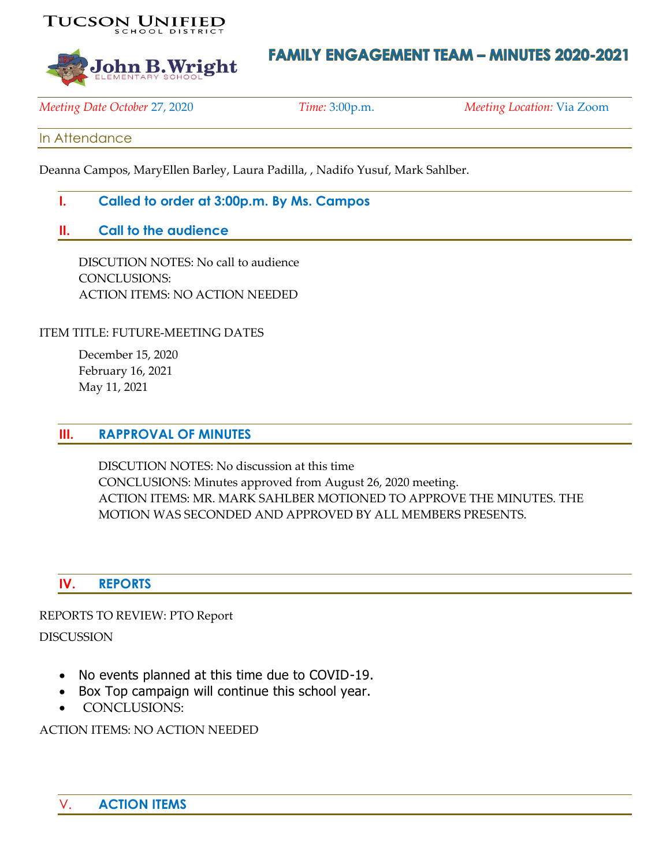



# **FAMILY ENGAGEMENT TEAM - MINUTES 2020-2021**

*Meeting Date October* 27, 2020 *Time:* 3:00p.m. *Meeting Location:* Via Zoom

## In Attendance

Deanna Campos, MaryEllen Barley, Laura Padilla, , Nadifo Yusuf, Mark Sahlber.

- **I. Called to order at 3:00p.m. By Ms. Campos**
- **II. Call to the audience**

DISCUTION NOTES: No call to audience CONCLUSIONS: ACTION ITEMS: NO ACTION NEEDED

ITEM TITLE: FUTURE-MEETING DATES

December 15, 2020 February 16, 2021 May 11, 2021

#### **III. RAPPROVAL OF MINUTES**

DISCUTION NOTES: No discussion at this time CONCLUSIONS: Minutes approved from August 26, 2020 meeting. ACTION ITEMS: MR. MARK SAHLBER MOTIONED TO APPROVE THE MINUTES. THE MOTION WAS SECONDED AND APPROVED BY ALL MEMBERS PRESENTS.

## **IV. REPORTS**

REPORTS TO REVIEW: PTO Report

DISCUSSION

- No events planned at this time due to COVID-19.
- Box Top campaign will continue this school year.
- CONCLUSIONS:

ACTION ITEMS: NO ACTION NEEDED